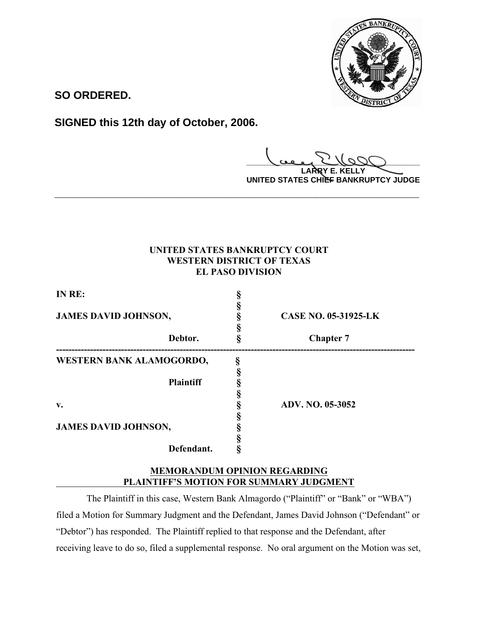

**SO ORDERED.**

**SIGNED this 12th day of October, 2006.**

**\_\_\_\_\_\_\_\_\_\_\_\_\_\_\_\_\_\_\_\_\_\_\_\_\_\_\_\_\_\_\_\_\_\_\_\_\_\_\_\_ LARRY E. KELLY**

**UNITED STATES CHIEF BANKRUPTCY JUDGE**

# **UNITED STATES BANKRUPTCY COURT WESTERN DISTRICT OF TEXAS EL PASO DIVISION**

**\_\_\_\_\_\_\_\_\_\_\_\_\_\_\_\_\_\_\_\_\_\_\_\_\_\_\_\_\_\_\_\_\_\_\_\_\_\_\_\_\_\_\_\_\_\_\_\_\_\_\_\_\_\_\_\_\_\_\_\_**

| IN RE:<br><b>JAMES DAVID JOHNSON,</b> |                  | <b>CASE NO. 05-31925-LK</b> |
|---------------------------------------|------------------|-----------------------------|
|                                       |                  |                             |
| WESTERN BANK ALAMOGORDO,              |                  |                             |
|                                       | <b>Plaintiff</b> |                             |
|                                       |                  | <b>ADV. NO. 05-3052</b>     |
| v.                                    |                  |                             |
| <b>JAMES DAVID JOHNSON,</b>           |                  |                             |
|                                       | Defendant.       |                             |

## **MEMORANDUM OPINION REGARDING PLAINTIFF'S MOTION FOR SUMMARY JUDGMENT**

 The Plaintiff in this case, Western Bank Almagordo ("Plaintiff" or "Bank" or "WBA") filed a Motion for Summary Judgment and the Defendant, James David Johnson ("Defendant" or "Debtor") has responded. The Plaintiff replied to that response and the Defendant, after receiving leave to do so, filed a supplemental response. No oral argument on the Motion was set,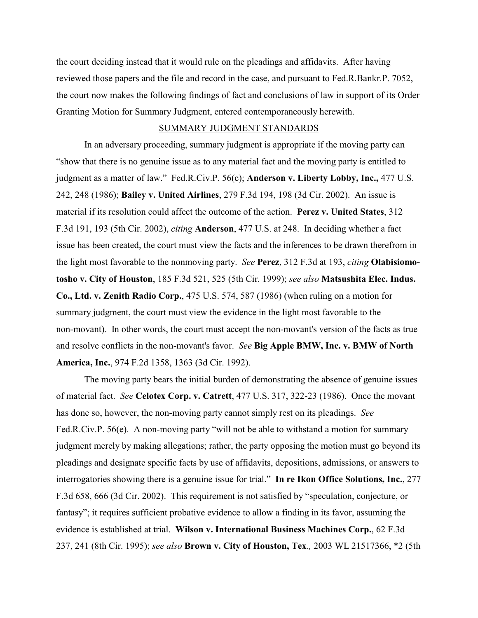the court deciding instead that it would rule on the pleadings and affidavits. After having reviewed those papers and the file and record in the case, and pursuant to Fed.R.Bankr.P. 7052, the court now makes the following findings of fact and conclusions of law in support of its Order Granting Motion for Summary Judgment, entered contemporaneously herewith.

### SUMMARY JUDGMENT STANDARDS

In an adversary proceeding, summary judgment is appropriate if the moving party can "show that there is no genuine issue as to any material fact and the moving party is entitled to judgment as a matter of law." Fed.R.Civ.P. 56(c); **Anderson v. Liberty Lobby, Inc.,** 477 U.S. 242, 248 (1986); **Bailey v. United Airlines**, 279 F.3d 194, 198 (3d Cir. 2002). An issue is material if its resolution could affect the outcome of the action. **Perez v. United States**, 312 F.3d 191, 193 (5th Cir. 2002), *citing* **Anderson**, 477 U.S. at 248. In deciding whether a fact issue has been created, the court must view the facts and the inferences to be drawn therefrom in the light most favorable to the nonmoving party. *See* **Perez**, 312 F.3d at 193, *citing* **Olabisiomotosho v. City of Houston**, 185 F.3d 521, 525 (5th Cir. 1999); *see also* **Matsushita Elec. Indus. Co., Ltd. v. Zenith Radio Corp.**, 475 U.S. 574, 587 (1986) (when ruling on a motion for summary judgment, the court must view the evidence in the light most favorable to the non-movant). In other words, the court must accept the non-movant's version of the facts as true and resolve conflicts in the non-movant's favor. *See* **Big Apple BMW, Inc. v. BMW of North America, Inc.**, 974 F.2d 1358, 1363 (3d Cir. 1992).

The moving party bears the initial burden of demonstrating the absence of genuine issues of material fact. *See* **Celotex Corp. v. Catrett**, 477 U.S. 317, 322-23 (1986). Once the movant has done so, however, the non-moving party cannot simply rest on its pleadings. *See* Fed.R.Civ.P. 56(e). A non-moving party "will not be able to withstand a motion for summary judgment merely by making allegations; rather, the party opposing the motion must go beyond its pleadings and designate specific facts by use of affidavits, depositions, admissions, or answers to interrogatories showing there is a genuine issue for trial." **In re Ikon Office Solutions, Inc.**, 277 F.3d 658, 666 (3d Cir. 2002). This requirement is not satisfied by "speculation, conjecture, or fantasy"; it requires sufficient probative evidence to allow a finding in its favor, assuming the evidence is established at trial. **Wilson v. International Business Machines Corp.**, 62 F.3d 237, 241 (8th Cir. 1995); *see also* **Brown v. City of Houston, Tex**.*,* 2003 WL 21517366, \*2 (5th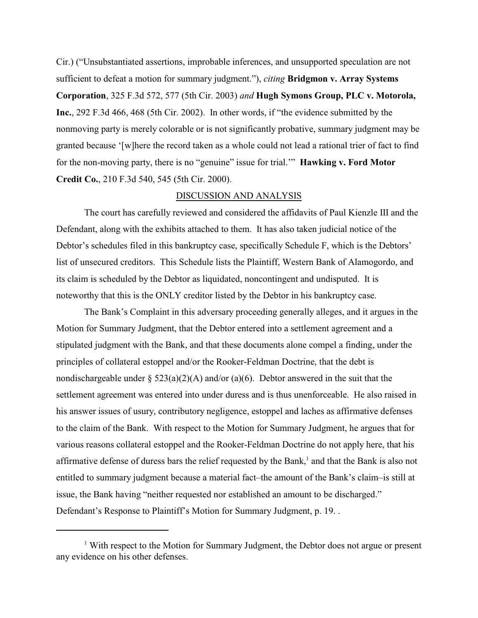Cir.) ("Unsubstantiated assertions, improbable inferences, and unsupported speculation are not sufficient to defeat a motion for summary judgment."), *citing* **Bridgmon v. Array Systems Corporation**, 325 F.3d 572, 577 (5th Cir. 2003) *and* **Hugh Symons Group, PLC v. Motorola, Inc.**, 292 F.3d 466, 468 (5th Cir. 2002). In other words, if "the evidence submitted by the nonmoving party is merely colorable or is not significantly probative, summary judgment may be granted because '[w]here the record taken as a whole could not lead a rational trier of fact to find for the non-moving party, there is no "genuine" issue for trial.'" **Hawking v. Ford Motor Credit Co.**, 210 F.3d 540, 545 (5th Cir. 2000).

#### DISCUSSION AND ANALYSIS

The court has carefully reviewed and considered the affidavits of Paul Kienzle III and the Defendant, along with the exhibits attached to them. It has also taken judicial notice of the Debtor's schedules filed in this bankruptcy case, specifically Schedule F, which is the Debtors' list of unsecured creditors. This Schedule lists the Plaintiff, Western Bank of Alamogordo, and its claim is scheduled by the Debtor as liquidated, noncontingent and undisputed. It is noteworthy that this is the ONLY creditor listed by the Debtor in his bankruptcy case.

The Bank's Complaint in this adversary proceeding generally alleges, and it argues in the Motion for Summary Judgment, that the Debtor entered into a settlement agreement and a stipulated judgment with the Bank, and that these documents alone compel a finding, under the principles of collateral estoppel and/or the Rooker-Feldman Doctrine, that the debt is nondischargeable under  $\S 523(a)(2)(A)$  and/or (a)(6). Debtor answered in the suit that the settlement agreement was entered into under duress and is thus unenforceable. He also raised in his answer issues of usury, contributory negligence, estoppel and laches as affirmative defenses to the claim of the Bank. With respect to the Motion for Summary Judgment, he argues that for various reasons collateral estoppel and the Rooker-Feldman Doctrine do not apply here, that his affirmative defense of duress bars the relief requested by the Bank,  $\frac{1}{1}$  and that the Bank is also not entitled to summary judgment because a material fact–the amount of the Bank's claim–is still at issue, the Bank having "neither requested nor established an amount to be discharged." Defendant's Response to Plaintiff's Motion for Summary Judgment, p. 19. .

 $1$  With respect to the Motion for Summary Judgment, the Debtor does not argue or present any evidence on his other defenses.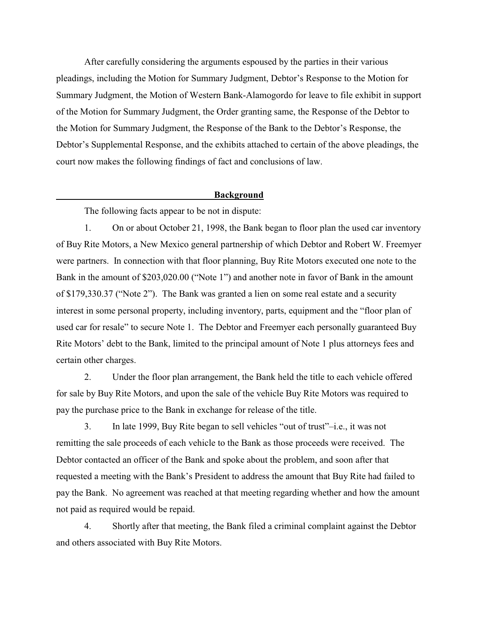After carefully considering the arguments espoused by the parties in their various pleadings, including the Motion for Summary Judgment, Debtor's Response to the Motion for Summary Judgment, the Motion of Western Bank-Alamogordo for leave to file exhibit in support of the Motion for Summary Judgment, the Order granting same, the Response of the Debtor to the Motion for Summary Judgment, the Response of the Bank to the Debtor's Response, the Debtor's Supplemental Response, and the exhibits attached to certain of the above pleadings, the court now makes the following findings of fact and conclusions of law.

#### **Background**

The following facts appear to be not in dispute:

1. On or about October 21, 1998, the Bank began to floor plan the used car inventory of Buy Rite Motors, a New Mexico general partnership of which Debtor and Robert W. Freemyer were partners. In connection with that floor planning, Buy Rite Motors executed one note to the Bank in the amount of \$203,020.00 ("Note 1") and another note in favor of Bank in the amount of \$179,330.37 ("Note 2"). The Bank was granted a lien on some real estate and a security interest in some personal property, including inventory, parts, equipment and the "floor plan of used car for resale" to secure Note 1. The Debtor and Freemyer each personally guaranteed Buy Rite Motors' debt to the Bank, limited to the principal amount of Note 1 plus attorneys fees and certain other charges.

2. Under the floor plan arrangement, the Bank held the title to each vehicle offered for sale by Buy Rite Motors, and upon the sale of the vehicle Buy Rite Motors was required to pay the purchase price to the Bank in exchange for release of the title.

3. In late 1999, Buy Rite began to sell vehicles "out of trust"–i.e., it was not remitting the sale proceeds of each vehicle to the Bank as those proceeds were received. The Debtor contacted an officer of the Bank and spoke about the problem, and soon after that requested a meeting with the Bank's President to address the amount that Buy Rite had failed to pay the Bank. No agreement was reached at that meeting regarding whether and how the amount not paid as required would be repaid.

4. Shortly after that meeting, the Bank filed a criminal complaint against the Debtor and others associated with Buy Rite Motors.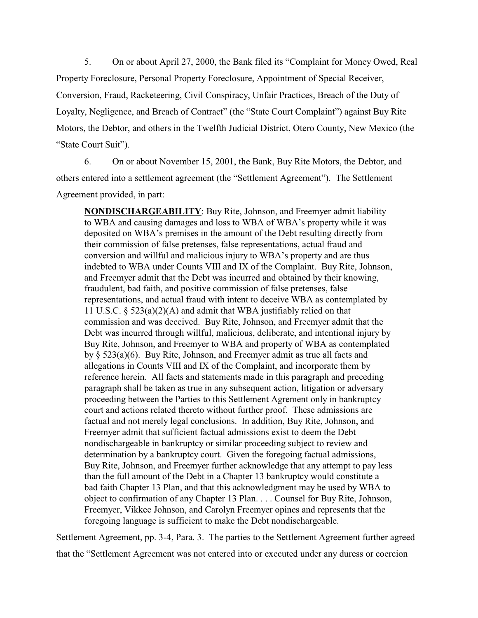5. On or about April 27, 2000, the Bank filed its "Complaint for Money Owed, Real Property Foreclosure, Personal Property Foreclosure, Appointment of Special Receiver, Conversion, Fraud, Racketeering, Civil Conspiracy, Unfair Practices, Breach of the Duty of Loyalty, Negligence, and Breach of Contract" (the "State Court Complaint") against Buy Rite Motors, the Debtor, and others in the Twelfth Judicial District, Otero County, New Mexico (the "State Court Suit").

6. On or about November 15, 2001, the Bank, Buy Rite Motors, the Debtor, and others entered into a settlement agreement (the "Settlement Agreement"). The Settlement Agreement provided, in part:

**NONDISCHARGEABILITY**: Buy Rite, Johnson, and Freemyer admit liability to WBA and causing damages and loss to WBA of WBA's property while it was deposited on WBA's premises in the amount of the Debt resulting directly from their commission of false pretenses, false representations, actual fraud and conversion and willful and malicious injury to WBA's property and are thus indebted to WBA under Counts VIII and IX of the Complaint. Buy Rite, Johnson, and Freemyer admit that the Debt was incurred and obtained by their knowing, fraudulent, bad faith, and positive commission of false pretenses, false representations, and actual fraud with intent to deceive WBA as contemplated by 11 U.S.C. § 523(a)(2)(A) and admit that WBA justifiably relied on that commission and was deceived. Buy Rite, Johnson, and Freemyer admit that the Debt was incurred through willful, malicious, deliberate, and intentional injury by Buy Rite, Johnson, and Freemyer to WBA and property of WBA as contemplated by § 523(a)(6). Buy Rite, Johnson, and Freemyer admit as true all facts and allegations in Counts VIII and IX of the Complaint, and incorporate them by reference herein. All facts and statements made in this paragraph and preceding paragraph shall be taken as true in any subsequent action, litigation or adversary proceeding between the Parties to this Settlement Agrement only in bankruptcy court and actions related thereto without further proof. These admissions are factual and not merely legal conclusions. In addition, Buy Rite, Johnson, and Freemyer admit that sufficient factual admissions exist to deem the Debt nondischargeable in bankruptcy or similar proceeding subject to review and determination by a bankruptcy court. Given the foregoing factual admissions, Buy Rite, Johnson, and Freemyer further acknowledge that any attempt to pay less than the full amount of the Debt in a Chapter 13 bankruptcy would constitute a bad faith Chapter 13 Plan, and that this acknowledgment may be used by WBA to object to confirmation of any Chapter 13 Plan. . . . Counsel for Buy Rite, Johnson, Freemyer, Vikkee Johnson, and Carolyn Freemyer opines and represents that the foregoing language is sufficient to make the Debt nondischargeable.

Settlement Agreement, pp. 3-4, Para. 3. The parties to the Settlement Agreement further agreed that the "Settlement Agreement was not entered into or executed under any duress or coercion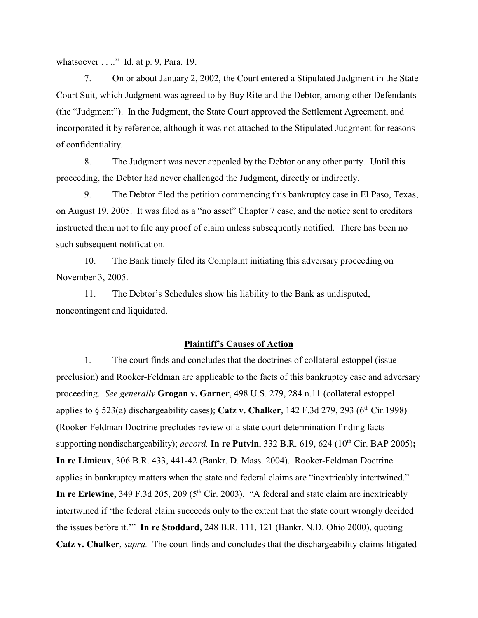whatsoever . . .." Id. at p. 9, Para. 19.

7. On or about January 2, 2002, the Court entered a Stipulated Judgment in the State Court Suit, which Judgment was agreed to by Buy Rite and the Debtor, among other Defendants (the "Judgment"). In the Judgment, the State Court approved the Settlement Agreement, and incorporated it by reference, although it was not attached to the Stipulated Judgment for reasons of confidentiality.

8. The Judgment was never appealed by the Debtor or any other party. Until this proceeding, the Debtor had never challenged the Judgment, directly or indirectly.

9. The Debtor filed the petition commencing this bankruptcy case in El Paso, Texas, on August 19, 2005. It was filed as a "no asset" Chapter 7 case, and the notice sent to creditors instructed them not to file any proof of claim unless subsequently notified. There has been no such subsequent notification.

10. The Bank timely filed its Complaint initiating this adversary proceeding on November 3, 2005.

 11. The Debtor's Schedules show his liability to the Bank as undisputed, noncontingent and liquidated.

#### **Plaintiff's Causes of Action**

 1. The court finds and concludes that the doctrines of collateral estoppel (issue preclusion) and Rooker-Feldman are applicable to the facts of this bankruptcy case and adversary proceeding. *See generally* **Grogan v. Garner**, 498 U.S. 279, 284 n.11 (collateral estoppel applies to  $\S$  523(a) dischargeability cases); **Catz v. Chalker**, 142 F.3d 279, 293 ( $6<sup>th</sup>$  Cir.1998) (Rooker-Feldman Doctrine precludes review of a state court determination finding facts supporting nondischargeability); *accord*, **In re Putvin**, 332 B.R. 619, 624 (10<sup>th</sup> Cir. BAP 2005); **In re Limieux**, 306 B.R. 433, 441-42 (Bankr. D. Mass. 2004). Rooker-Feldman Doctrine applies in bankruptcy matters when the state and federal claims are "inextricably intertwined." **In re Erlewine**, 349 F.3d 205, 209 ( $5<sup>th</sup>$  Cir. 2003). "A federal and state claim are inextricably intertwined if 'the federal claim succeeds only to the extent that the state court wrongly decided the issues before it.'" **In re Stoddard**, 248 B.R. 111, 121 (Bankr. N.D. Ohio 2000), quoting **Catz v. Chalker**, *supra.* The court finds and concludes that the dischargeability claims litigated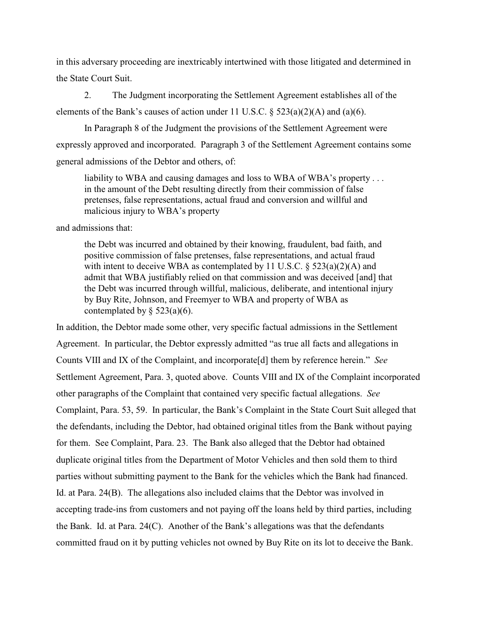in this adversary proceeding are inextricably intertwined with those litigated and determined in the State Court Suit.

2. The Judgment incorporating the Settlement Agreement establishes all of the elements of the Bank's causes of action under 11 U.S.C.  $\S$  523(a)(2)(A) and (a)(6).

In Paragraph 8 of the Judgment the provisions of the Settlement Agreement were expressly approved and incorporated. Paragraph 3 of the Settlement Agreement contains some general admissions of the Debtor and others, of:

liability to WBA and causing damages and loss to WBA of WBA's property . . . in the amount of the Debt resulting directly from their commission of false pretenses, false representations, actual fraud and conversion and willful and malicious injury to WBA's property

and admissions that:

the Debt was incurred and obtained by their knowing, fraudulent, bad faith, and positive commission of false pretenses, false representations, and actual fraud with intent to deceive WBA as contemplated by 11 U.S.C.  $\S$  523(a)(2)(A) and admit that WBA justifiably relied on that commission and was deceived [and] that the Debt was incurred through willful, malicious, deliberate, and intentional injury by Buy Rite, Johnson, and Freemyer to WBA and property of WBA as contemplated by  $\S$  523(a)(6).

In addition, the Debtor made some other, very specific factual admissions in the Settlement Agreement. In particular, the Debtor expressly admitted "as true all facts and allegations in Counts VIII and IX of the Complaint, and incorporate[d] them by reference herein." *See* Settlement Agreement, Para. 3, quoted above. Counts VIII and IX of the Complaint incorporated other paragraphs of the Complaint that contained very specific factual allegations. *See* Complaint, Para. 53, 59. In particular, the Bank's Complaint in the State Court Suit alleged that the defendants, including the Debtor, had obtained original titles from the Bank without paying for them. See Complaint, Para. 23. The Bank also alleged that the Debtor had obtained duplicate original titles from the Department of Motor Vehicles and then sold them to third parties without submitting payment to the Bank for the vehicles which the Bank had financed. Id. at Para. 24(B). The allegations also included claims that the Debtor was involved in accepting trade-ins from customers and not paying off the loans held by third parties, including the Bank. Id. at Para. 24(C). Another of the Bank's allegations was that the defendants committed fraud on it by putting vehicles not owned by Buy Rite on its lot to deceive the Bank.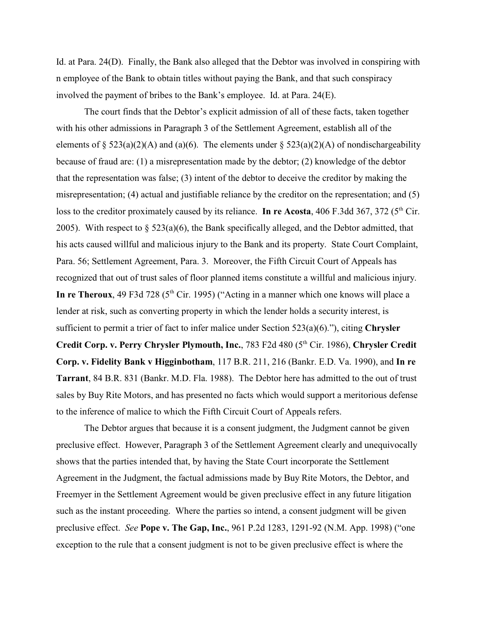Id. at Para. 24(D). Finally, the Bank also alleged that the Debtor was involved in conspiring with n employee of the Bank to obtain titles without paying the Bank, and that such conspiracy involved the payment of bribes to the Bank's employee. Id. at Para. 24(E).

The court finds that the Debtor's explicit admission of all of these facts, taken together with his other admissions in Paragraph 3 of the Settlement Agreement, establish all of the elements of § 523(a)(2)(A) and (a)(6). The elements under § 523(a)(2)(A) of nondischargeability because of fraud are: (1) a misrepresentation made by the debtor; (2) knowledge of the debtor that the representation was false; (3) intent of the debtor to deceive the creditor by making the misrepresentation; (4) actual and justifiable reliance by the creditor on the representation; and (5) loss to the creditor proximately caused by its reliance. **In re Acosta**, 406 F.3dd 367, 372 (5<sup>th</sup> Cir. 2005). With respect to  $\S$  523(a)(6), the Bank specifically alleged, and the Debtor admitted, that his acts caused willful and malicious injury to the Bank and its property. State Court Complaint, Para. 56; Settlement Agreement, Para. 3. Moreover, the Fifth Circuit Court of Appeals has recognized that out of trust sales of floor planned items constitute a willful and malicious injury. **In re Theroux**, 49 F3d 728 ( $5<sup>th</sup>$  Cir. 1995) ("Acting in a manner which one knows will place a lender at risk, such as converting property in which the lender holds a security interest, is sufficient to permit a trier of fact to infer malice under Section 523(a)(6)."), citing **Chrysler Credit Corp. v. Perry Chrysler Plymouth, Inc.**, 783 F2d 480 (5<sup>th</sup> Cir. 1986), *Chrysler Credit* **Corp. v. Fidelity Bank v Higginbotham**, 117 B.R. 211, 216 (Bankr. E.D. Va. 1990), and **In re Tarrant**, 84 B.R. 831 (Bankr. M.D. Fla. 1988). The Debtor here has admitted to the out of trust sales by Buy Rite Motors, and has presented no facts which would support a meritorious defense to the inference of malice to which the Fifth Circuit Court of Appeals refers.

The Debtor argues that because it is a consent judgment, the Judgment cannot be given preclusive effect. However, Paragraph 3 of the Settlement Agreement clearly and unequivocally shows that the parties intended that, by having the State Court incorporate the Settlement Agreement in the Judgment, the factual admissions made by Buy Rite Motors, the Debtor, and Freemyer in the Settlement Agreement would be given preclusive effect in any future litigation such as the instant proceeding. Where the parties so intend, a consent judgment will be given preclusive effect. *See* **Pope v. The Gap, Inc.**, 961 P.2d 1283, 1291-92 (N.M. App. 1998) ("one exception to the rule that a consent judgment is not to be given preclusive effect is where the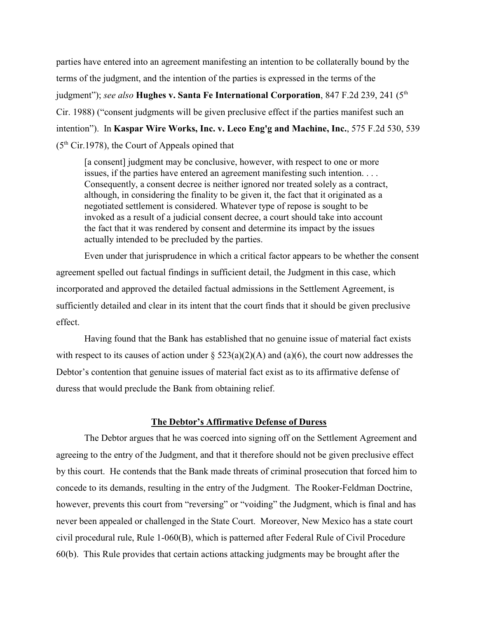parties have entered into an agreement manifesting an intention to be collaterally bound by the terms of the judgment, and the intention of the parties is expressed in the terms of the judgment"); *see also* Hughes v. Santa Fe International Corporation, 847 F.2d 239, 241 (5<sup>th</sup> Cir. 1988) ("consent judgments will be given preclusive effect if the parties manifest such an intention"). In **Kaspar Wire Works, Inc. v. Leco Eng'g and Machine, Inc.**, 575 F.2d 530, 539 ( $5<sup>th</sup> Cir.1978$ ), the Court of Appeals opined that

[a consent] judgment may be conclusive, however, with respect to one or more issues, if the parties have entered an agreement manifesting such intention. . . . Consequently, a consent decree is neither ignored nor treated solely as a contract, although, in considering the finality to be given it, the fact that it originated as a negotiated settlement is considered. Whatever type of repose is sought to be invoked as a result of a judicial consent decree, a court should take into account the fact that it was rendered by consent and determine its impact by the issues actually intended to be precluded by the parties.

Even under that jurisprudence in which a critical factor appears to be whether the consent agreement spelled out factual findings in sufficient detail, the Judgment in this case, which incorporated and approved the detailed factual admissions in the Settlement Agreement, is sufficiently detailed and clear in its intent that the court finds that it should be given preclusive effect.

Having found that the Bank has established that no genuine issue of material fact exists with respect to its causes of action under  $\S 523(a)(2)(A)$  and  $(a)(6)$ , the court now addresses the Debtor's contention that genuine issues of material fact exist as to its affirmative defense of duress that would preclude the Bank from obtaining relief.

### **The Debtor's Affirmative Defense of Duress**

 The Debtor argues that he was coerced into signing off on the Settlement Agreement and agreeing to the entry of the Judgment, and that it therefore should not be given preclusive effect by this court. He contends that the Bank made threats of criminal prosecution that forced him to concede to its demands, resulting in the entry of the Judgment. The Rooker-Feldman Doctrine, however, prevents this court from "reversing" or "voiding" the Judgment, which is final and has never been appealed or challenged in the State Court. Moreover, New Mexico has a state court civil procedural rule, Rule 1-060(B), which is patterned after Federal Rule of Civil Procedure 60(b). This Rule provides that certain actions attacking judgments may be brought after the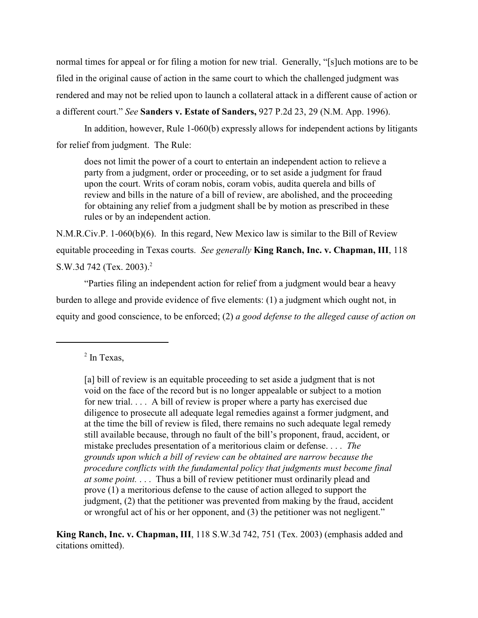normal times for appeal or for filing a motion for new trial. Generally, "[s]uch motions are to be filed in the original cause of action in the same court to which the challenged judgment was rendered and may not be relied upon to launch a collateral attack in a different cause of action or a different court." *See* **Sanders v. Estate of Sanders,** 927 P.2d 23, 29 (N.M. App. 1996).

In addition, however, Rule 1-060(b) expressly allows for independent actions by litigants for relief from judgment. The Rule:

does not limit the power of a court to entertain an independent action to relieve a party from a judgment, order or proceeding, or to set aside a judgment for fraud upon the court. Writs of coram nobis, coram vobis, audita querela and bills of review and bills in the nature of a bill of review, are abolished, and the proceeding for obtaining any relief from a judgment shall be by motion as prescribed in these rules or by an independent action.

N.M.R.Civ.P. 1-060(b)(6). In this regard, New Mexico law is similar to the Bill of Review equitable proceeding in Texas courts. *See generally* **King Ranch, Inc. v. Chapman, III**, 118 S.W.3d 742 (Tex. 2003).<sup>2</sup>

"Parties filing an independent action for relief from a judgment would bear a heavy burden to allege and provide evidence of five elements: (1) a judgment which ought not, in equity and good conscience, to be enforced; (2) *a good defense to the alleged cause of action on*

**King Ranch, Inc. v. Chapman, III**, 118 S.W.3d 742, 751 (Tex. 2003) (emphasis added and citations omitted).

 $<sup>2</sup>$  In Texas,</sup>

<sup>[</sup>a] bill of review is an equitable proceeding to set aside a judgment that is not void on the face of the record but is no longer appealable or subject to a motion for new trial. . . . A bill of review is proper where a party has exercised due diligence to prosecute all adequate legal remedies against a former judgment, and at the time the bill of review is filed, there remains no such adequate legal remedy still available because, through no fault of the bill's proponent, fraud, accident, or mistake precludes presentation of a meritorious claim or defense. . . . *The grounds upon which a bill of review can be obtained are narrow because the procedure conflicts with the fundamental policy that judgments must become final at some point.* . . . Thus a bill of review petitioner must ordinarily plead and prove (1) a meritorious defense to the cause of action alleged to support the judgment, (2) that the petitioner was prevented from making by the fraud, accident or wrongful act of his or her opponent, and (3) the petitioner was not negligent."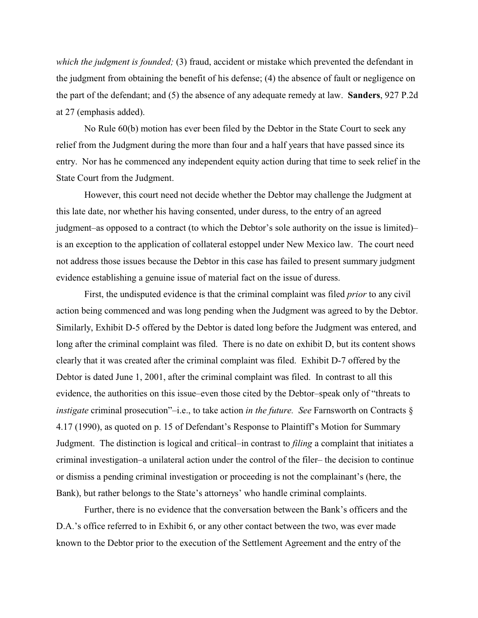*which the judgment is founded;* (3) fraud, accident or mistake which prevented the defendant in the judgment from obtaining the benefit of his defense; (4) the absence of fault or negligence on the part of the defendant; and (5) the absence of any adequate remedy at law. **Sanders**, 927 P.2d at 27 (emphasis added).

No Rule 60(b) motion has ever been filed by the Debtor in the State Court to seek any relief from the Judgment during the more than four and a half years that have passed since its entry. Nor has he commenced any independent equity action during that time to seek relief in the State Court from the Judgment.

However, this court need not decide whether the Debtor may challenge the Judgment at this late date, nor whether his having consented, under duress, to the entry of an agreed judgment–as opposed to a contract (to which the Debtor's sole authority on the issue is limited)– is an exception to the application of collateral estoppel under New Mexico law. The court need not address those issues because the Debtor in this case has failed to present summary judgment evidence establishing a genuine issue of material fact on the issue of duress.

First, the undisputed evidence is that the criminal complaint was filed *prior* to any civil action being commenced and was long pending when the Judgment was agreed to by the Debtor. Similarly, Exhibit D-5 offered by the Debtor is dated long before the Judgment was entered, and long after the criminal complaint was filed. There is no date on exhibit D, but its content shows clearly that it was created after the criminal complaint was filed. Exhibit D-7 offered by the Debtor is dated June 1, 2001, after the criminal complaint was filed. In contrast to all this evidence, the authorities on this issue–even those cited by the Debtor–speak only of "threats to *instigate* criminal prosecution"–i.e., to take action *in the future. See* Farnsworth on Contracts § 4.17 (1990), as quoted on p. 15 of Defendant's Response to Plaintiff's Motion for Summary Judgment. The distinction is logical and critical–in contrast to *filing* a complaint that initiates a criminal investigation–a unilateral action under the control of the filer– the decision to continue or dismiss a pending criminal investigation or proceeding is not the complainant's (here, the Bank), but rather belongs to the State's attorneys' who handle criminal complaints.

Further, there is no evidence that the conversation between the Bank's officers and the D.A.'s office referred to in Exhibit 6, or any other contact between the two, was ever made known to the Debtor prior to the execution of the Settlement Agreement and the entry of the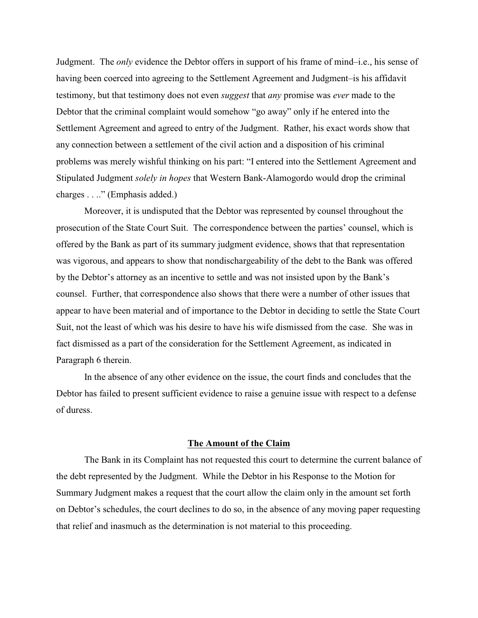Judgment. The *only* evidence the Debtor offers in support of his frame of mind–i.e., his sense of having been coerced into agreeing to the Settlement Agreement and Judgment–is his affidavit testimony, but that testimony does not even *suggest* that *any* promise was *ever* made to the Debtor that the criminal complaint would somehow "go away" only if he entered into the Settlement Agreement and agreed to entry of the Judgment. Rather, his exact words show that any connection between a settlement of the civil action and a disposition of his criminal problems was merely wishful thinking on his part: "I entered into the Settlement Agreement and Stipulated Judgment *solely in hopes* that Western Bank-Alamogordo would drop the criminal charges . . .." (Emphasis added.)

Moreover, it is undisputed that the Debtor was represented by counsel throughout the prosecution of the State Court Suit. The correspondence between the parties' counsel, which is offered by the Bank as part of its summary judgment evidence, shows that that representation was vigorous, and appears to show that nondischargeability of the debt to the Bank was offered by the Debtor's attorney as an incentive to settle and was not insisted upon by the Bank's counsel. Further, that correspondence also shows that there were a number of other issues that appear to have been material and of importance to the Debtor in deciding to settle the State Court Suit, not the least of which was his desire to have his wife dismissed from the case. She was in fact dismissed as a part of the consideration for the Settlement Agreement, as indicated in Paragraph 6 therein.

In the absence of any other evidence on the issue, the court finds and concludes that the Debtor has failed to present sufficient evidence to raise a genuine issue with respect to a defense of duress.

#### **The Amount of the Claim**

The Bank in its Complaint has not requested this court to determine the current balance of the debt represented by the Judgment. While the Debtor in his Response to the Motion for Summary Judgment makes a request that the court allow the claim only in the amount set forth on Debtor's schedules, the court declines to do so, in the absence of any moving paper requesting that relief and inasmuch as the determination is not material to this proceeding.